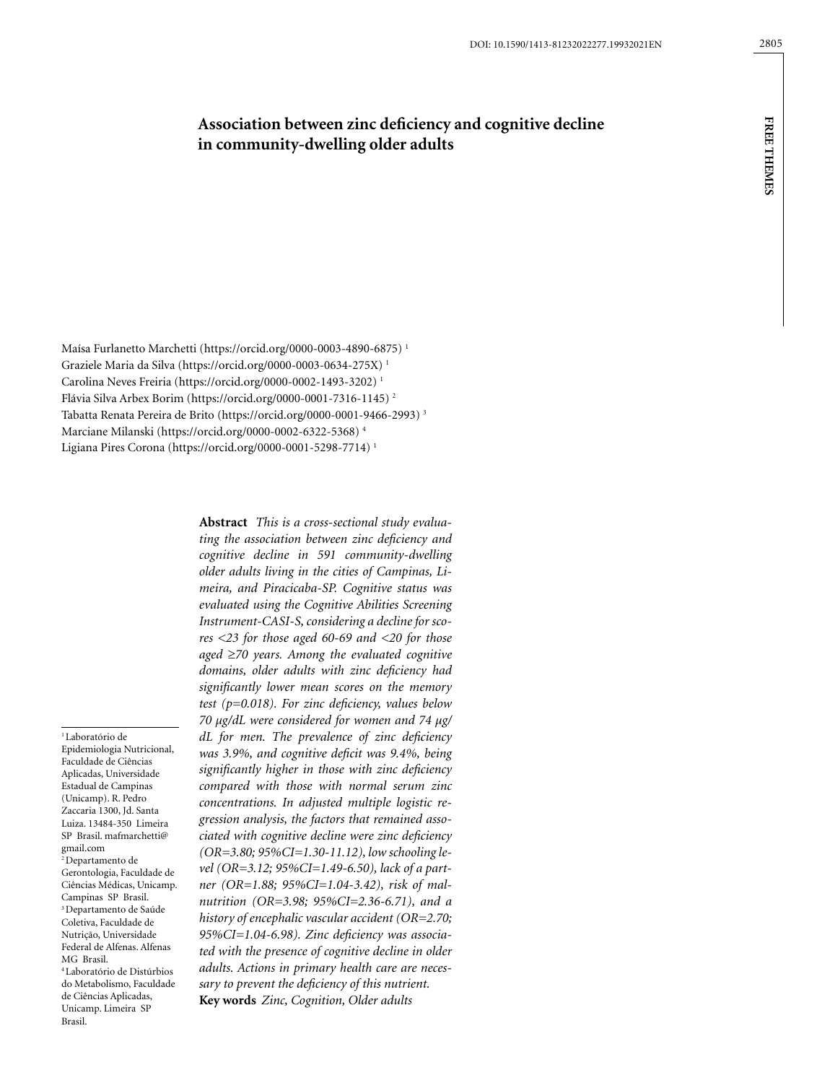**free themes**

**FREE THEMES** 

# **Association between zinc deficiency and cognitive decline in community-dwelling older adults**

Maísa Furlanetto Marchetti (https://orcid.org/0000-0003-4890-6875) 1 Graziele Maria da Silva (https://orcid.org/0000-0003-0634-275X) 1 Carolina Neves Freiria (https://orcid.org/0000-0002-1493-3202) 1 Flávia Silva Arbex Borim (https://orcid.org/0000-0001-7316-1145) 2 Tabatta Renata Pereira de Brito (https://orcid.org/0000-0001-9466-2993) 3 Marciane Milanski (https://orcid.org/0000-0002-6322-5368) 4 Ligiana Pires Corona (https://orcid.org/0000-0001-5298-7714) 1

<sup>1</sup> Laboratório de Epidemiologia Nutricional, Faculdade de Ciências Aplicadas, Universidade Estadual de Campinas (Unicamp). R. Pedro Zaccaria 1300, Jd. Santa Luiza. 13484-350 Limeira SP Brasil. mafmarchetti@ gmail.com 2 Departamento de Gerontologia, Faculdade de Ciências Médicas, Unicamp. Campinas SP Brasil. 3 Departamento de Saúde Coletiva, Faculdade de Nutrição, Universidade Federal de Alfenas. Alfenas MG Brasil. 4 Laboratório de Distúrbios do Metabolismo, Faculdade de Ciências Aplicadas, Unicamp. Limeira SP Brasil.

**Abstract** *This is a cross-sectional study evaluating the association between zinc deficiency and cognitive decline in 591 community-dwelling older adults living in the cities of Campinas, Limeira, and Piracicaba-SP. Cognitive status was evaluated using the Cognitive Abilities Screening Instrument-CASI-S, considering a decline for scores <23 for those aged 60-69 and <20 for those aged* ≥*70 years. Among the evaluated cognitive domains, older adults with zinc deficiency had significantly lower mean scores on the memory test (p=0.018). For zinc deficiency, values below 70 μg/dL were considered for women and 74 μg/ dL for men. The prevalence of zinc deficiency was 3.9%, and cognitive deficit was 9.4%, being significantly higher in those with zinc deficiency compared with those with normal serum zinc concentrations. In adjusted multiple logistic regression analysis, the factors that remained associated with cognitive decline were zinc deficiency (OR=3.80; 95%CI=1.30-11.12), low schooling level (OR=3.12; 95%CI=1.49-6.50), lack of a partner (OR=1.88; 95%CI=1.04-3.42), risk of malnutrition (OR=3.98; 95%CI=2.36-6.71), and a history of encephalic vascular accident (OR=2.70; 95%CI=1.04-6.98). Zinc deficiency was associated with the presence of cognitive decline in older adults. Actions in primary health care are necessary to prevent the deficiency of this nutrient.* **Key words** *Zinc, Cognition, Older adults*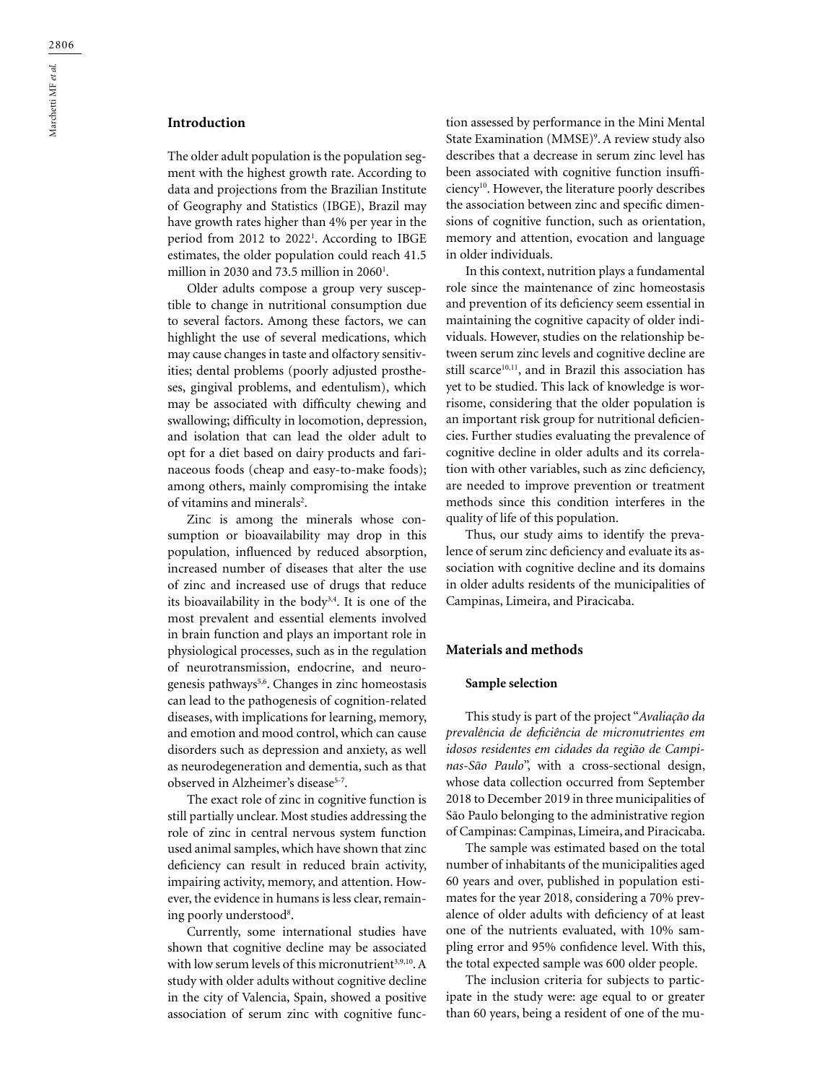# **Introduction**

The older adult population is the population segment with the highest growth rate. According to data and projections from the Brazilian Institute of Geography and Statistics (IBGE), Brazil may have growth rates higher than 4% per year in the period from 2012 to 20221 . According to IBGE estimates, the older population could reach 41.5 million in 2030 and 73.5 million in 2060 $^{\rm l}$ .

Older adults compose a group very susceptible to change in nutritional consumption due to several factors. Among these factors, we can highlight the use of several medications, which may cause changes in taste and olfactory sensitivities; dental problems (poorly adjusted prostheses, gingival problems, and edentulism), which may be associated with difficulty chewing and swallowing; difficulty in locomotion, depression, and isolation that can lead the older adult to opt for a diet based on dairy products and farinaceous foods (cheap and easy-to-make foods); among others, mainly compromising the intake of vitamins and minerals<sup>2</sup>.

Zinc is among the minerals whose consumption or bioavailability may drop in this population, influenced by reduced absorption, increased number of diseases that alter the use of zinc and increased use of drugs that reduce its bioavailability in the body<sup>3,4</sup>. It is one of the most prevalent and essential elements involved in brain function and plays an important role in physiological processes, such as in the regulation of neurotransmission, endocrine, and neurogenesis pathways<sup>5,6</sup>. Changes in zinc homeostasis can lead to the pathogenesis of cognition-related diseases, with implications for learning, memory, and emotion and mood control, which can cause disorders such as depression and anxiety, as well as neurodegeneration and dementia, such as that observed in Alzheimer's disease<sup>5-7</sup>.

The exact role of zinc in cognitive function is still partially unclear. Most studies addressing the role of zinc in central nervous system function used animal samples, which have shown that zinc deficiency can result in reduced brain activity, impairing activity, memory, and attention. However, the evidence in humans is less clear, remaining poorly understood<sup>8</sup>.

Currently, some international studies have shown that cognitive decline may be associated with low serum levels of this micronutrient<sup>3,9,10</sup>. A study with older adults without cognitive decline in the city of Valencia, Spain, showed a positive association of serum zinc with cognitive function assessed by performance in the Mini Mental State Examination (MMSE)<sup>9</sup>. A review study also describes that a decrease in serum zinc level has been associated with cognitive function insufficiency10. However, the literature poorly describes the association between zinc and specific dimensions of cognitive function, such as orientation, memory and attention, evocation and language in older individuals.

In this context, nutrition plays a fundamental role since the maintenance of zinc homeostasis and prevention of its deficiency seem essential in maintaining the cognitive capacity of older individuals. However, studies on the relationship between serum zinc levels and cognitive decline are still scarce<sup>10,11</sup>, and in Brazil this association has yet to be studied. This lack of knowledge is worrisome, considering that the older population is an important risk group for nutritional deficiencies. Further studies evaluating the prevalence of cognitive decline in older adults and its correlation with other variables, such as zinc deficiency, are needed to improve prevention or treatment methods since this condition interferes in the quality of life of this population.

Thus, our study aims to identify the prevalence of serum zinc deficiency and evaluate its association with cognitive decline and its domains in older adults residents of the municipalities of Campinas, Limeira, and Piracicaba.

#### **Materials and methods**

### **Sample selection**

This study is part of the project "*Avaliação da prevalência de deficiência de micronutrientes em idosos residentes em cidades da região de Campinas-São Paulo*", with a cross-sectional design, whose data collection occurred from September 2018 to December 2019 in three municipalities of São Paulo belonging to the administrative region of Campinas: Campinas, Limeira, and Piracicaba.

The sample was estimated based on the total number of inhabitants of the municipalities aged 60 years and over, published in population estimates for the year 2018, considering a 70% prevalence of older adults with deficiency of at least one of the nutrients evaluated, with 10% sampling error and 95% confidence level. With this, the total expected sample was 600 older people.

The inclusion criteria for subjects to participate in the study were: age equal to or greater than 60 years, being a resident of one of the mu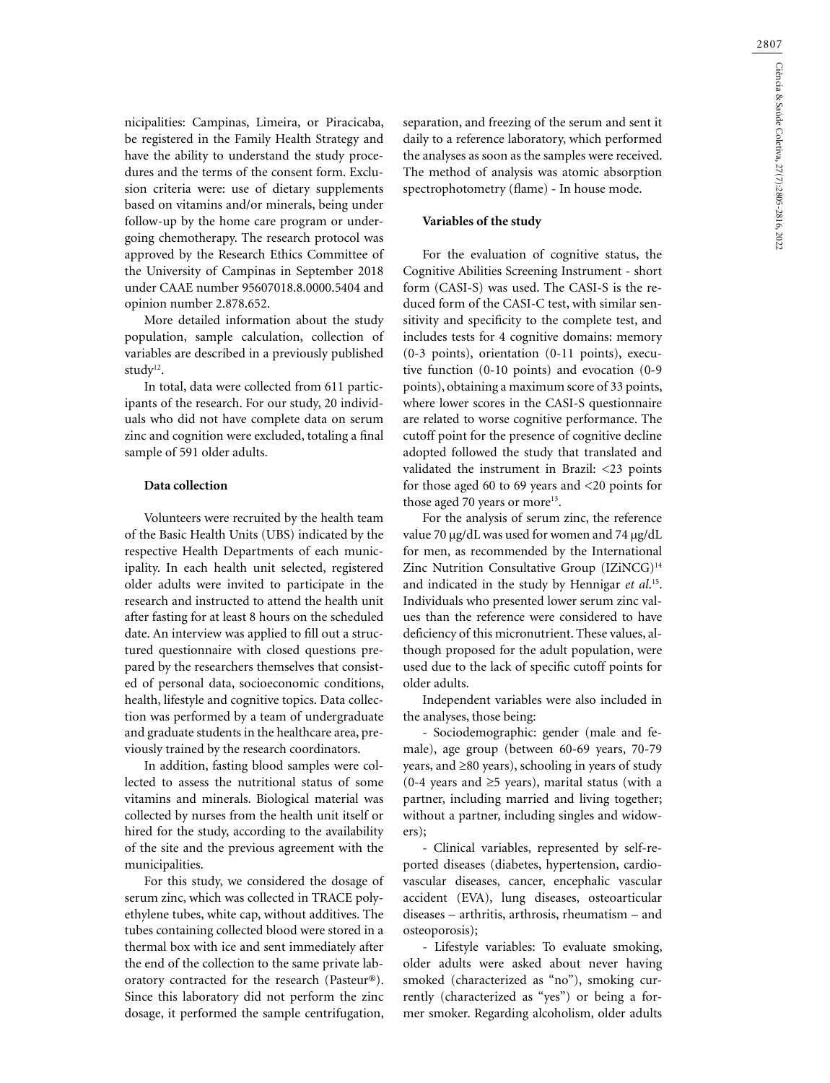nicipalities: Campinas, Limeira, or Piracicaba, be registered in the Family Health Strategy and have the ability to understand the study procedures and the terms of the consent form. Exclusion criteria were: use of dietary supplements based on vitamins and/or minerals, being under follow-up by the home care program or undergoing chemotherapy. The research protocol was approved by the Research Ethics Committee of the University of Campinas in September 2018 under CAAE number 95607018.8.0000.5404 and opinion number 2.878.652.

More detailed information about the study population, sample calculation, collection of variables are described in a previously published study<sup>12</sup>.

In total, data were collected from 611 participants of the research. For our study, 20 individuals who did not have complete data on serum zinc and cognition were excluded, totaling a final sample of 591 older adults.

### **Data collection**

Volunteers were recruited by the health team of the Basic Health Units (UBS) indicated by the respective Health Departments of each municipality. In each health unit selected, registered older adults were invited to participate in the research and instructed to attend the health unit after fasting for at least 8 hours on the scheduled date. An interview was applied to fill out a structured questionnaire with closed questions prepared by the researchers themselves that consisted of personal data, socioeconomic conditions, health, lifestyle and cognitive topics. Data collection was performed by a team of undergraduate and graduate students in the healthcare area, previously trained by the research coordinators.

In addition, fasting blood samples were collected to assess the nutritional status of some vitamins and minerals. Biological material was collected by nurses from the health unit itself or hired for the study, according to the availability of the site and the previous agreement with the municipalities.

For this study, we considered the dosage of serum zinc, which was collected in TRACE polyethylene tubes, white cap, without additives. The tubes containing collected blood were stored in a thermal box with ice and sent immediately after the end of the collection to the same private laboratory contracted for the research (Pasteur®). Since this laboratory did not perform the zinc dosage, it performed the sample centrifugation, separation, and freezing of the serum and sent it daily to a reference laboratory, which performed the analyses as soon as the samples were received. The method of analysis was atomic absorption spectrophotometry (flame) - In house mode.

#### **Variables of the study**

For the evaluation of cognitive status, the Cognitive Abilities Screening Instrument - short form (CASI-S) was used. The CASI-S is the reduced form of the CASI-C test, with similar sensitivity and specificity to the complete test, and includes tests for 4 cognitive domains: memory (0-3 points), orientation (0-11 points), executive function (0-10 points) and evocation (0-9 points), obtaining a maximum score of 33 points, where lower scores in the CASI-S questionnaire are related to worse cognitive performance. The cutoff point for the presence of cognitive decline adopted followed the study that translated and validated the instrument in Brazil: <23 points for those aged 60 to 69 years and <20 points for those aged 70 years or more<sup>13</sup>.

For the analysis of serum zinc, the reference value 70 μg/dL was used for women and 74 μg/dL for men, as recommended by the International Zinc Nutrition Consultative Group (IZiNCG)<sup>14</sup> and indicated in the study by Hennigar *et al*. 15. Individuals who presented lower serum zinc values than the reference were considered to have deficiency of this micronutrient. These values, although proposed for the adult population, were used due to the lack of specific cutoff points for older adults.

Independent variables were also included in the analyses, those being:

- Sociodemographic: gender (male and female), age group (between 60-69 years, 70-79 years, and ≥80 years), schooling in years of study (0-4 years and ≥5 years), marital status (with a partner, including married and living together; without a partner, including singles and widowers);

- Clinical variables, represented by self-reported diseases (diabetes, hypertension, cardiovascular diseases, cancer, encephalic vascular accident (EVA), lung diseases, osteoarticular diseases – arthritis, arthrosis, rheumatism – and osteoporosis);

- Lifestyle variables: To evaluate smoking, older adults were asked about never having smoked (characterized as "no"), smoking currently (characterized as "yes") or being a former smoker. Regarding alcoholism, older adults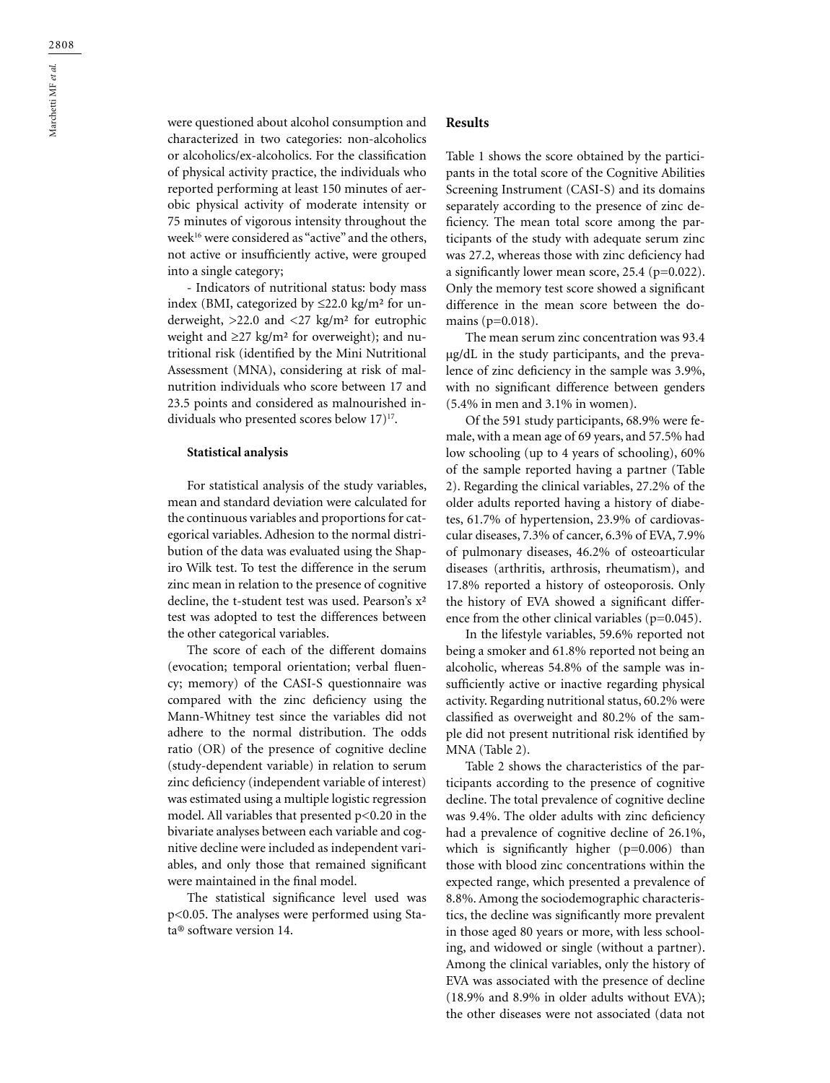were questioned about alcohol consumption and characterized in two categories: non-alcoholics or alcoholics/ex-alcoholics. For the classification of physical activity practice, the individuals who reported performing at least 150 minutes of aerobic physical activity of moderate intensity or 75 minutes of vigorous intensity throughout the week16 were considered as "active" and the others, not active or insufficiently active, were grouped into a single category;

- Indicators of nutritional status: body mass index (BMI, categorized by  $\leq$ 22.0 kg/m<sup>2</sup> for underweight, >22.0 and <27 kg/m² for eutrophic weight and ≥27 kg/m² for overweight); and nutritional risk (identified by the Mini Nutritional Assessment (MNA), considering at risk of malnutrition individuals who score between 17 and 23.5 points and considered as malnourished individuals who presented scores below 17)<sup>17</sup>.

### **Statistical analysis**

For statistical analysis of the study variables, mean and standard deviation were calculated for the continuous variables and proportions for categorical variables. Adhesion to the normal distribution of the data was evaluated using the Shapiro Wilk test. To test the difference in the serum zinc mean in relation to the presence of cognitive decline, the t-student test was used. Pearson's x² test was adopted to test the differences between the other categorical variables.

The score of each of the different domains (evocation; temporal orientation; verbal fluency; memory) of the CASI-S questionnaire was compared with the zinc deficiency using the Mann-Whitney test since the variables did not adhere to the normal distribution. The odds ratio (OR) of the presence of cognitive decline (study-dependent variable) in relation to serum zinc deficiency (independent variable of interest) was estimated using a multiple logistic regression model. All variables that presented p<0.20 in the bivariate analyses between each variable and cognitive decline were included as independent variables, and only those that remained significant were maintained in the final model.

The statistical significance level used was p<0.05. The analyses were performed using Stata® software version 14.

### **Results**

Table 1 shows the score obtained by the participants in the total score of the Cognitive Abilities Screening Instrument (CASI-S) and its domains separately according to the presence of zinc deficiency. The mean total score among the participants of the study with adequate serum zinc was 27.2, whereas those with zinc deficiency had a significantly lower mean score, 25.4 (p=0.022). Only the memory test score showed a significant difference in the mean score between the domains (p=0.018).

The mean serum zinc concentration was 93.4 μg/dL in the study participants, and the prevalence of zinc deficiency in the sample was 3.9%, with no significant difference between genders (5.4% in men and 3.1% in women).

Of the 591 study participants, 68.9% were female, with a mean age of 69 years, and 57.5% had low schooling (up to 4 years of schooling), 60% of the sample reported having a partner (Table 2). Regarding the clinical variables, 27.2% of the older adults reported having a history of diabetes, 61.7% of hypertension, 23.9% of cardiovascular diseases, 7.3% of cancer, 6.3% of EVA, 7.9% of pulmonary diseases, 46.2% of osteoarticular diseases (arthritis, arthrosis, rheumatism), and 17.8% reported a history of osteoporosis. Only the history of EVA showed a significant difference from the other clinical variables (p=0.045).

In the lifestyle variables, 59.6% reported not being a smoker and 61.8% reported not being an alcoholic, whereas 54.8% of the sample was insufficiently active or inactive regarding physical activity. Regarding nutritional status, 60.2% were classified as overweight and 80.2% of the sample did not present nutritional risk identified by MNA (Table 2).

Table 2 shows the characteristics of the participants according to the presence of cognitive decline. The total prevalence of cognitive decline was 9.4%. The older adults with zinc deficiency had a prevalence of cognitive decline of 26.1%, which is significantly higher (p=0.006) than those with blood zinc concentrations within the expected range, which presented a prevalence of 8.8%. Among the sociodemographic characteristics, the decline was significantly more prevalent in those aged 80 years or more, with less schooling, and widowed or single (without a partner). Among the clinical variables, only the history of EVA was associated with the presence of decline (18.9% and 8.9% in older adults without EVA); the other diseases were not associated (data not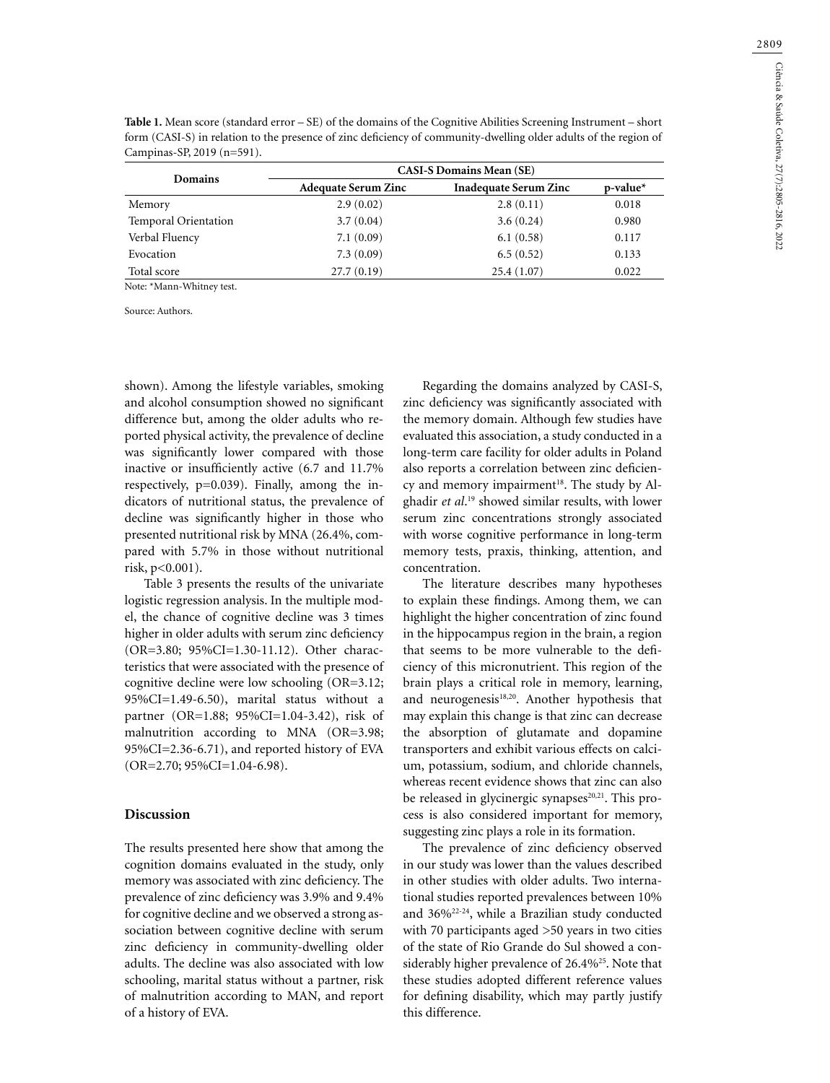| <b>Table 1.</b> Mean score (standard error $-$ SE) of the domains of the Cognitive Abilities Screening Instrument – short |
|---------------------------------------------------------------------------------------------------------------------------|
| form (CASI-S) in relation to the presence of zinc deficiency of community-dwelling older adults of the region of          |
| Campinas-SP, 2019 $(n=591)$ .                                                                                             |

| Domains                     | <b>CASI-S Domains Mean (SE)</b> |                              |       |  |  |
|-----------------------------|---------------------------------|------------------------------|-------|--|--|
|                             | <b>Adequate Serum Zinc</b>      | <b>Inadequate Serum Zinc</b> |       |  |  |
| Memory                      | 2.9(0.02)                       | 2.8(0.11)                    | 0.018 |  |  |
| <b>Temporal Orientation</b> | 3.7(0.04)                       | 3.6(0.24)                    | 0.980 |  |  |
| Verbal Fluency              | 7.1(0.09)                       | 6.1(0.58)                    | 0.117 |  |  |
| Evocation                   | 7.3(0.09)                       | 6.5(0.52)                    | 0.133 |  |  |
| Total score                 | 27.7(0.19)                      | 25.4(1.07)                   | 0.022 |  |  |

Note: \*Mann-Whitney test.

Source: Authors.

shown). Among the lifestyle variables, smoking and alcohol consumption showed no significant difference but, among the older adults who reported physical activity, the prevalence of decline was significantly lower compared with those inactive or insufficiently active (6.7 and 11.7% respectively, p=0.039). Finally, among the indicators of nutritional status, the prevalence of decline was significantly higher in those who presented nutritional risk by MNA (26.4%, compared with 5.7% in those without nutritional risk, p<0.001).

Table 3 presents the results of the univariate logistic regression analysis. In the multiple model, the chance of cognitive decline was 3 times higher in older adults with serum zinc deficiency (OR=3.80; 95%CI=1.30-11.12). Other characteristics that were associated with the presence of cognitive decline were low schooling (OR=3.12; 95%CI=1.49-6.50), marital status without a partner (OR=1.88; 95%CI=1.04-3.42), risk of malnutrition according to MNA (OR=3.98; 95%CI=2.36-6.71), and reported history of EVA (OR=2.70; 95%CI=1.04-6.98).

### **Discussion**

The results presented here show that among the cognition domains evaluated in the study, only memory was associated with zinc deficiency. The prevalence of zinc deficiency was 3.9% and 9.4% for cognitive decline and we observed a strong association between cognitive decline with serum zinc deficiency in community-dwelling older adults. The decline was also associated with low schooling, marital status without a partner, risk of malnutrition according to MAN, and report of a history of EVA.

Regarding the domains analyzed by CASI-S, zinc deficiency was significantly associated with the memory domain. Although few studies have evaluated this association, a study conducted in a long-term care facility for older adults in Poland also reports a correlation between zinc deficiency and memory impairment<sup>18</sup>. The study by Alghadir *et al*. 19 showed similar results, with lower serum zinc concentrations strongly associated with worse cognitive performance in long-term memory tests, praxis, thinking, attention, and concentration.

The literature describes many hypotheses to explain these findings. Among them, we can highlight the higher concentration of zinc found in the hippocampus region in the brain, a region that seems to be more vulnerable to the deficiency of this micronutrient. This region of the brain plays a critical role in memory, learning, and neurogenesis $18,20$ . Another hypothesis that may explain this change is that zinc can decrease the absorption of glutamate and dopamine transporters and exhibit various effects on calcium, potassium, sodium, and chloride channels, whereas recent evidence shows that zinc can also be released in glycinergic synapses $20,21$ . This process is also considered important for memory, suggesting zinc plays a role in its formation.

The prevalence of zinc deficiency observed in our study was lower than the values described in other studies with older adults. Two international studies reported prevalences between 10% and 36%22-24, while a Brazilian study conducted with 70 participants aged >50 years in two cities of the state of Rio Grande do Sul showed a considerably higher prevalence of 26.4%<sup>25</sup>. Note that these studies adopted different reference values for defining disability, which may partly justify this difference.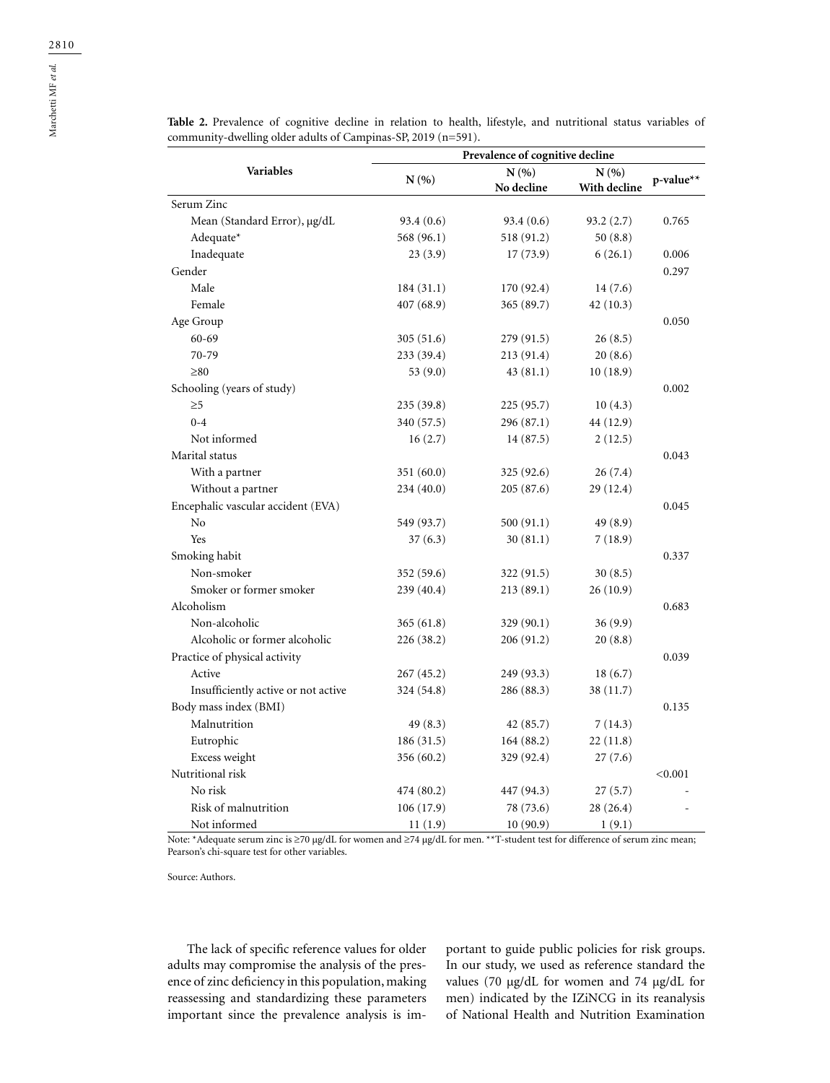|                                     | Prevalence of cognitive decline |                                          |           |           |  |
|-------------------------------------|---------------------------------|------------------------------------------|-----------|-----------|--|
| <b>Variables</b>                    | N(% )                           | N(%<br>N(%<br>No decline<br>With decline |           | p-value** |  |
| Serum Zinc                          |                                 |                                          |           |           |  |
| Mean (Standard Error), µg/dL        | 93.4(0.6)                       | 93.4(0.6)                                | 93.2(2.7) | 0.765     |  |
| Adequate*                           | 568 (96.1)                      | 518 (91.2)                               | 50(8.8)   |           |  |
| Inadequate                          | 23(3.9)                         | 17(73.9)                                 | 6(26.1)   | 0.006     |  |
| Gender                              |                                 |                                          |           | 0.297     |  |
| Male                                | 184(31.1)                       | 170 (92.4)                               | 14(7.6)   |           |  |
| Female                              | 407 (68.9)                      | 365 (89.7)                               | 42(10.3)  |           |  |
| Age Group                           |                                 |                                          |           | 0.050     |  |
| $60 - 69$                           | 305(51.6)                       | 279 (91.5)                               | 26(8.5)   |           |  |
| 70-79                               | 233 (39.4)                      | 213 (91.4)                               | 20(8.6)   |           |  |
| $\geq 80$                           | 53 $(9.0)$                      | 43(81.1)                                 | 10(18.9)  |           |  |
| Schooling (years of study)          |                                 |                                          |           | 0.002     |  |
| $\geq 5$                            | 235 (39.8)                      | 225 (95.7)                               | 10(4.3)   |           |  |
| $0 - 4$                             | 340 (57.5)                      | 296 (87.1)                               | 44 (12.9) |           |  |
| Not informed                        | 16(2.7)                         | 14 (87.5)                                | 2(12.5)   |           |  |
| Marital status                      |                                 |                                          |           | 0.043     |  |
| With a partner                      | 351(60.0)                       | 325(92.6)                                | 26(7.4)   |           |  |
| Without a partner                   | 234 (40.0)                      | 205(87.6)                                | 29 (12.4) |           |  |
| Encephalic vascular accident (EVA)  |                                 |                                          |           | 0.045     |  |
| No                                  | 549 (93.7)                      | 500 (91.1)                               | 49 (8.9)  |           |  |
| Yes                                 | 37(6.3)                         | 30(81.1)                                 | 7(18.9)   |           |  |
| Smoking habit                       |                                 |                                          |           | 0.337     |  |
| Non-smoker                          | 352 (59.6)                      | 322 (91.5)                               | 30(8.5)   |           |  |
| Smoker or former smoker             | 239 (40.4)                      | 213(89.1)                                | 26(10.9)  |           |  |
| Alcoholism                          |                                 |                                          |           | 0.683     |  |
| Non-alcoholic                       | 365(61.8)                       | 329(90.1)                                | 36(9.9)   |           |  |
| Alcoholic or former alcoholic       | 226 (38.2)                      | 206(91.2)                                | 20(8.8)   |           |  |
| Practice of physical activity       |                                 |                                          |           | 0.039     |  |
| Active                              | 267 (45.2)                      | 249 (93.3)                               | 18(6.7)   |           |  |
| Insufficiently active or not active | 324 (54.8)                      | 286 (88.3)                               | 38 (11.7) |           |  |
| Body mass index (BMI)               |                                 |                                          |           | 0.135     |  |
| Malnutrition                        | 49 (8.3)                        | 42 (85.7)                                | 7(14.3)   |           |  |
| Eutrophic                           | 186(31.5)                       | 164(88.2)                                | 22(11.8)  |           |  |
| Excess weight                       | 356 (60.2)                      | 329 (92.4)                               | 27(7.6)   |           |  |
| Nutritional risk                    |                                 |                                          |           | < 0.001   |  |
| No risk                             | 474 (80.2)                      | 447 (94.3)                               | 27(5.7)   |           |  |
| Risk of malnutrition                | 106(17.9)                       | 78 (73.6)                                | 28 (26.4) |           |  |
| Not informed                        | 11(1.9)                         | 10(90.9)                                 | 1(9.1)    |           |  |

**Table 2.** Prevalence of cognitive decline in relation to health, lifestyle, and nutritional status variables of community-dwelling older adults of Campinas-SP, 2019 (n=591).

Note: \*Adequate serum zinc is ≥70 μg/dL for women and ≥74 μg/dL for men. \*\*T-student test for difference of serum zinc mean; Pearson's chi-square test for other variables.

Source: Authors.

The lack of specific reference values for older adults may compromise the analysis of the presence of zinc deficiency in this population, making reassessing and standardizing these parameters important since the prevalence analysis is important to guide public policies for risk groups. In our study, we used as reference standard the values (70 μg/dL for women and 74 μg/dL for men) indicated by the IZiNCG in its reanalysis of National Health and Nutrition Examination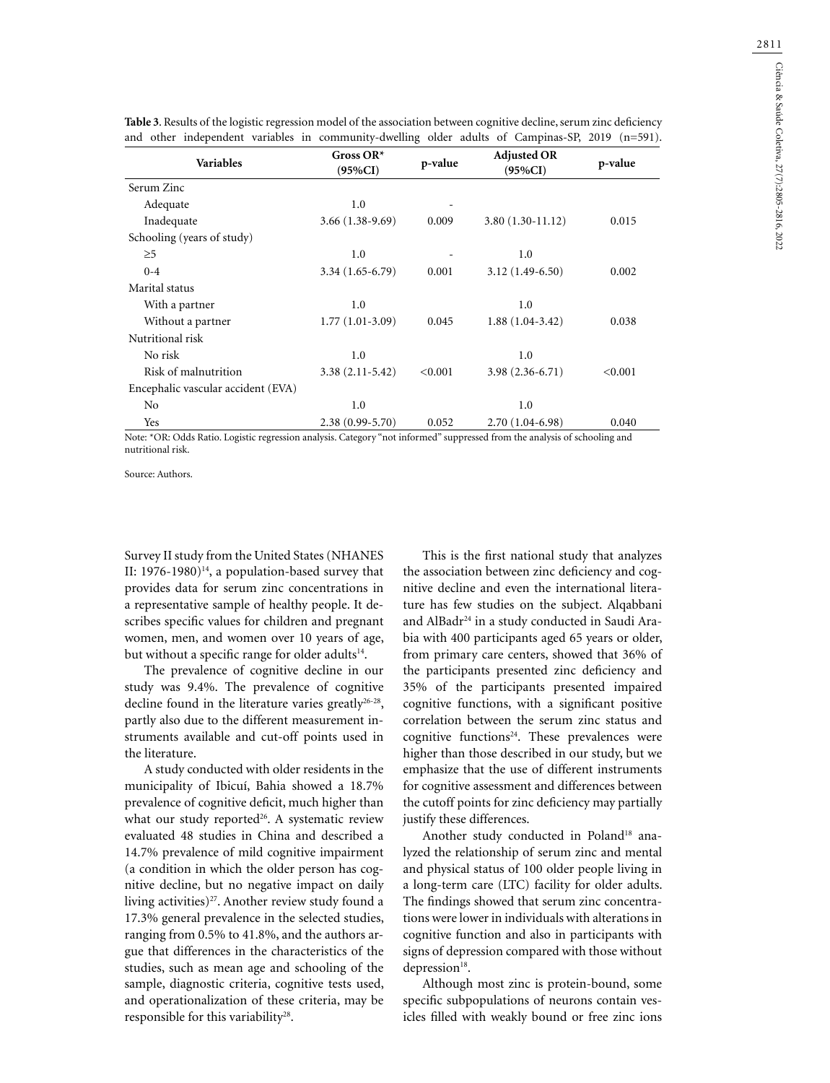| Gross $OR^*$<br>$(95\%CI)$ | p-value | <b>Adjusted OR</b><br>$(95\%CI)$ | p-value                                                                                          |
|----------------------------|---------|----------------------------------|--------------------------------------------------------------------------------------------------|
|                            |         |                                  |                                                                                                  |
| 1.0                        |         |                                  |                                                                                                  |
| $3.66(1.38-9.69)$          | 0.009   | $3.80(1.30-11.12)$               | 0.015                                                                                            |
|                            |         |                                  |                                                                                                  |
| 1.0                        |         | 1.0                              |                                                                                                  |
| $3.34(1.65-6.79)$          | 0.001   | $3.12(1.49-6.50)$                | 0.002                                                                                            |
|                            |         |                                  |                                                                                                  |
| 1.0                        |         | 1.0                              |                                                                                                  |
| $1.77(1.01-3.09)$          | 0.045   | $1.88(1.04-3.42)$                | 0.038                                                                                            |
|                            |         |                                  |                                                                                                  |
| 1.0                        |         | 1.0                              |                                                                                                  |
| $3.38(2.11-5.42)$          | < 0.001 | $3.98(2.36-6.71)$                | < 0.001                                                                                          |
|                            |         |                                  |                                                                                                  |
| 1.0                        |         | 1.0                              |                                                                                                  |
| $2.38(0.99 - 5.70)$        | 0.052   | $2.70(1.04-6.98)$                | 0.040                                                                                            |
|                            |         |                                  | and other independent variables in community-dwelling older adults of Campinas-SP, 2019 (n=591). |

**Table 3**. Results of the logistic regression model of the association between cognitive decline, serum zinc deficiency

Note: \*OR: Odds Ratio. Logistic regression analysis. Category "not informed" suppressed from the analysis of schooling and nutritional risk.

Source: Authors.

Survey II study from the United States (NHANES II: 1976-1980) $^{14}$ , a population-based survey that provides data for serum zinc concentrations in a representative sample of healthy people. It describes specific values for children and pregnant women, men, and women over 10 years of age, but without a specific range for older adults<sup>14</sup>.

The prevalence of cognitive decline in our study was 9.4%. The prevalence of cognitive decline found in the literature varies greatly<sup>26-28</sup>, partly also due to the different measurement instruments available and cut-off points used in the literature.

A study conducted with older residents in the municipality of Ibicuí, Bahia showed a 18.7% prevalence of cognitive deficit, much higher than what our study reported<sup>26</sup>. A systematic review evaluated 48 studies in China and described a 14.7% prevalence of mild cognitive impairment (a condition in which the older person has cognitive decline, but no negative impact on daily living activities)<sup>27</sup>. Another review study found a 17.3% general prevalence in the selected studies, ranging from 0.5% to 41.8%, and the authors argue that differences in the characteristics of the studies, such as mean age and schooling of the sample, diagnostic criteria, cognitive tests used, and operationalization of these criteria, may be responsible for this variability<sup>28</sup>.

This is the first national study that analyzes the association between zinc deficiency and cognitive decline and even the international literature has few studies on the subject. Alqabbani and AlBadr24 in a study conducted in Saudi Arabia with 400 participants aged 65 years or older, from primary care centers, showed that 36% of the participants presented zinc deficiency and 35% of the participants presented impaired cognitive functions, with a significant positive correlation between the serum zinc status and cognitive functions<sup>24</sup>. These prevalences were higher than those described in our study, but we emphasize that the use of different instruments for cognitive assessment and differences between the cutoff points for zinc deficiency may partially justify these differences.

Another study conducted in Poland<sup>18</sup> analyzed the relationship of serum zinc and mental and physical status of 100 older people living in a long-term care (LTC) facility for older adults. The findings showed that serum zinc concentrations were lower in individuals with alterations in cognitive function and also in participants with signs of depression compared with those without depression<sup>18</sup>.

Although most zinc is protein-bound, some specific subpopulations of neurons contain vesicles filled with weakly bound or free zinc ions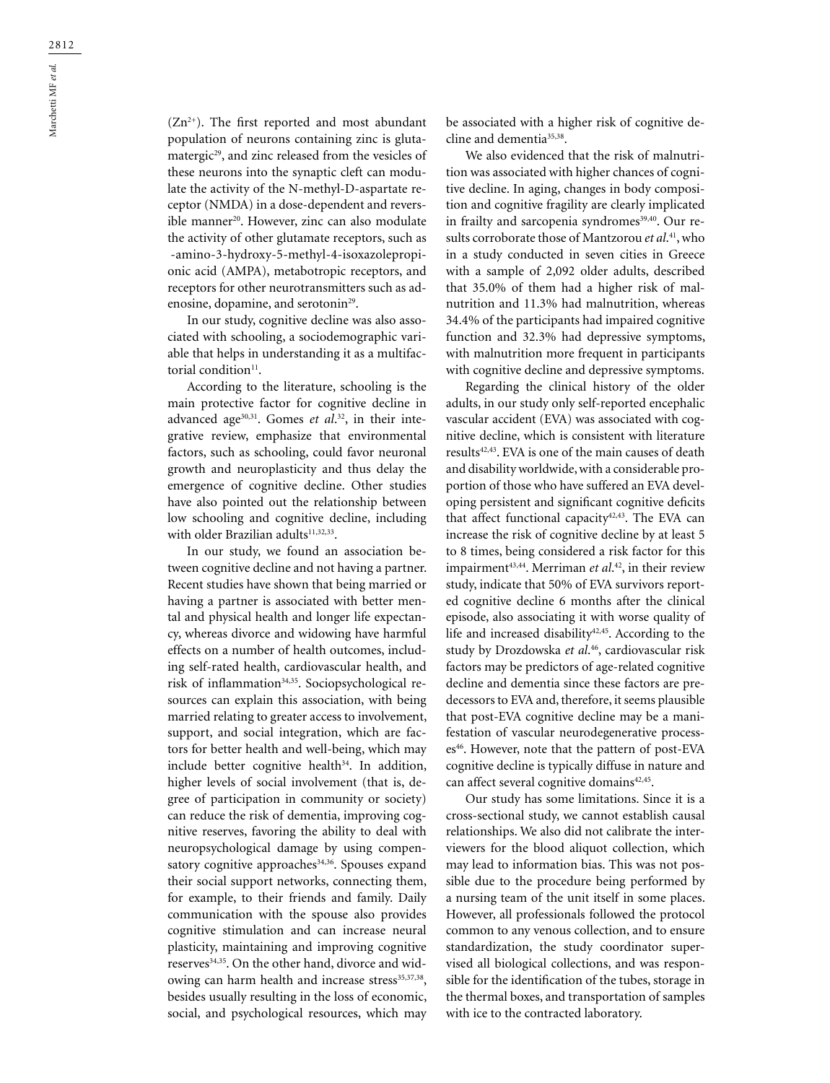$(Zn^{2+})$ . The first reported and most abundant population of neurons containing zinc is glutamatergic<sup>29</sup>, and zinc released from the vesicles of these neurons into the synaptic cleft can modulate the activity of the N-methyl-D-aspartate receptor (NMDA) in a dose-dependent and reversible manner<sup>20</sup>. However, zinc can also modulate the activity of other glutamate receptors, such as α-amino-3-hydroxy-5-methyl-4-isoxazolepropionic acid (AMPA), metabotropic receptors, and receptors for other neurotransmitters such as adenosine, dopamine, and serotonin<sup>29</sup>.

In our study, cognitive decline was also associated with schooling, a sociodemographic variable that helps in understanding it as a multifactorial condition<sup>11</sup>.

According to the literature, schooling is the main protective factor for cognitive decline in advanced age30,31. Gomes *et al*. 32, in their integrative review, emphasize that environmental factors, such as schooling, could favor neuronal growth and neuroplasticity and thus delay the emergence of cognitive decline. Other studies have also pointed out the relationship between low schooling and cognitive decline, including with older Brazilian adults<sup>11,32,33</sup>.

In our study, we found an association between cognitive decline and not having a partner. Recent studies have shown that being married or having a partner is associated with better mental and physical health and longer life expectancy, whereas divorce and widowing have harmful effects on a number of health outcomes, including self-rated health, cardiovascular health, and risk of inflammation<sup>34,35</sup>. Sociopsychological resources can explain this association, with being married relating to greater access to involvement, support, and social integration, which are factors for better health and well-being, which may include better cognitive health $34$ . In addition, higher levels of social involvement (that is, degree of participation in community or society) can reduce the risk of dementia, improving cognitive reserves, favoring the ability to deal with neuropsychological damage by using compensatory cognitive approaches<sup>34,36</sup>. Spouses expand their social support networks, connecting them, for example, to their friends and family. Daily communication with the spouse also provides cognitive stimulation and can increase neural plasticity, maintaining and improving cognitive reserves<sup>34,35</sup>. On the other hand, divorce and widowing can harm health and increase stress<sup>35,37,38</sup>, besides usually resulting in the loss of economic, social, and psychological resources, which may

be associated with a higher risk of cognitive decline and dementia<sup>35,38</sup>.

We also evidenced that the risk of malnutrition was associated with higher chances of cognitive decline. In aging, changes in body composition and cognitive fragility are clearly implicated in frailty and sarcopenia syndromes<sup>39,40</sup>. Our results corroborate those of Mantzorou *et al*. 41, who in a study conducted in seven cities in Greece with a sample of 2,092 older adults, described that 35.0% of them had a higher risk of malnutrition and 11.3% had malnutrition, whereas 34.4% of the participants had impaired cognitive function and 32.3% had depressive symptoms, with malnutrition more frequent in participants with cognitive decline and depressive symptoms.

Regarding the clinical history of the older adults, in our study only self-reported encephalic vascular accident (EVA) was associated with cognitive decline, which is consistent with literature results<sup>42,43</sup>. EVA is one of the main causes of death and disability worldwide, with a considerable proportion of those who have suffered an EVA developing persistent and significant cognitive deficits that affect functional capacity<sup>42,43</sup>. The EVA can increase the risk of cognitive decline by at least 5 to 8 times, being considered a risk factor for this impairment<sup>43,44</sup>. Merriman *et al*.<sup>42</sup>, in their review study, indicate that 50% of EVA survivors reported cognitive decline 6 months after the clinical episode, also associating it with worse quality of life and increased disability $42,45$ . According to the study by Drozdowska *et al*. 46, cardiovascular risk factors may be predictors of age-related cognitive decline and dementia since these factors are predecessors to EVA and, therefore, it seems plausible that post-EVA cognitive decline may be a manifestation of vascular neurodegenerative processes<sup>46</sup>. However, note that the pattern of post-EVA cognitive decline is typically diffuse in nature and can affect several cognitive domains $42,45$ .

Our study has some limitations. Since it is a cross-sectional study, we cannot establish causal relationships. We also did not calibrate the interviewers for the blood aliquot collection, which may lead to information bias. This was not possible due to the procedure being performed by a nursing team of the unit itself in some places. However, all professionals followed the protocol common to any venous collection, and to ensure standardization, the study coordinator supervised all biological collections, and was responsible for the identification of the tubes, storage in the thermal boxes, and transportation of samples with ice to the contracted laboratory.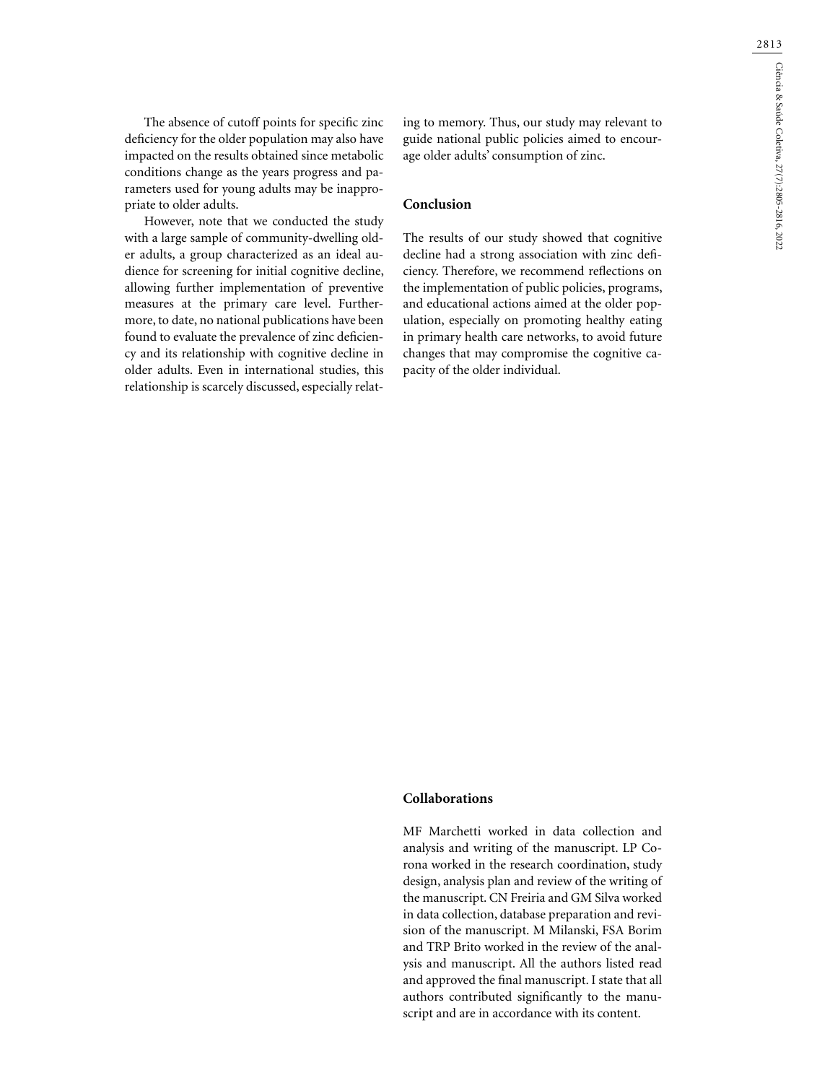The absence of cutoff points for specific zinc deficiency for the older population may also have impacted on the results obtained since metabolic conditions change as the years progress and parameters used for young adults may be inappropriate to older adults.

However, note that we conducted the study with a large sample of community-dwelling older adults, a group characterized as an ideal audience for screening for initial cognitive decline, allowing further implementation of preventive measures at the primary care level. Furthermore, to date, no national publications have been found to evaluate the prevalence of zinc deficiency and its relationship with cognitive decline in older adults. Even in international studies, this relationship is scarcely discussed, especially relating to memory. Thus, our study may relevant to guide national public policies aimed to encourage older adults' consumption of zinc.

### **Conclusion**

The results of our study showed that cognitive decline had a strong association with zinc deficiency. Therefore, we recommend reflections on the implementation of public policies, programs, and educational actions aimed at the older population, especially on promoting healthy eating in primary health care networks, to avoid future changes that may compromise the cognitive capacity of the older individual.

### **Collaborations**

MF Marchetti worked in data collection and analysis and writing of the manuscript. LP Corona worked in the research coordination, study design, analysis plan and review of the writing of the manuscript. CN Freiria and GM Silva worked in data collection, database preparation and revision of the manuscript. M Milanski, FSA Borim and TRP Brito worked in the review of the analysis and manuscript. All the authors listed read and approved the final manuscript. I state that all authors contributed significantly to the manuscript and are in accordance with its content.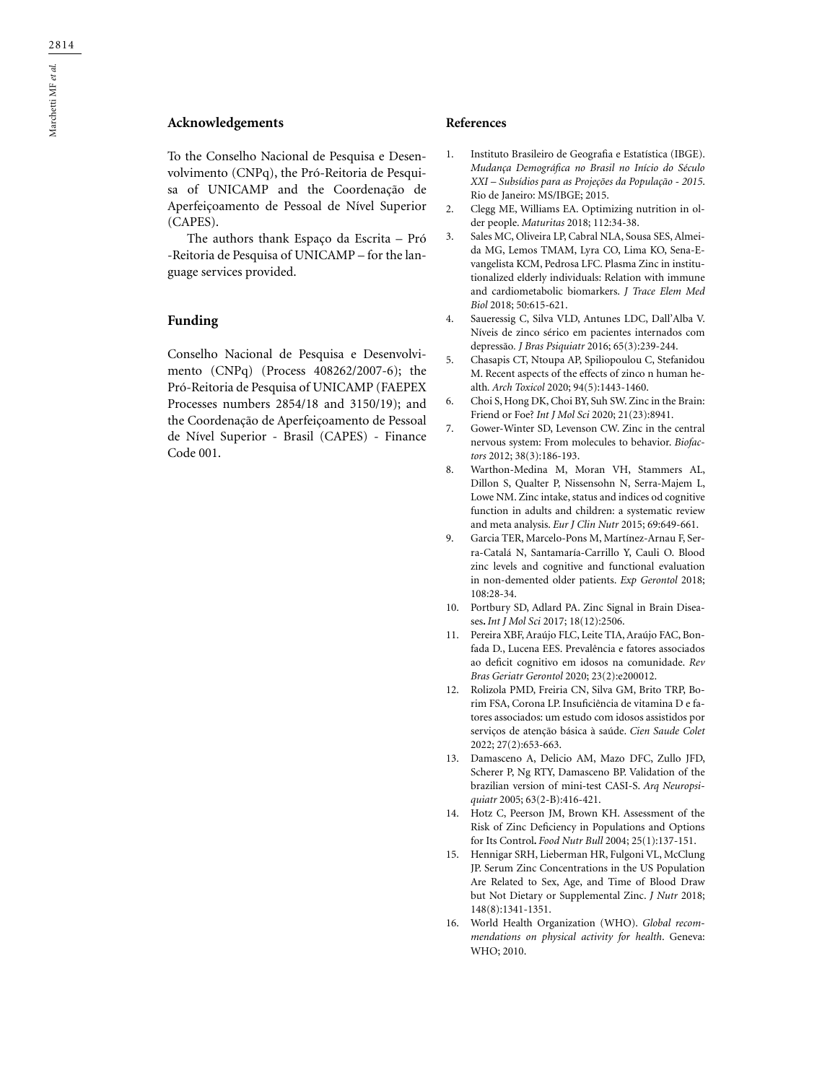# **Acknowledgements**

To the Conselho Nacional de Pesquisa e Desenvolvimento (CNPq), the Pró-Reitoria de Pesquisa of UNICAMP and the Coordenação de Aperfeiçoamento de Pessoal de Nível Superior (CAPES).

The authors thank Espaço da Escrita – Pró -Reitoria de Pesquisa of UNICAMP – for the language services provided.

### **Funding**

Conselho Nacional de Pesquisa e Desenvolvimento (CNPq) (Process 408262/2007-6); the Pró-Reitoria de Pesquisa of UNICAMP (FAEPEX Processes numbers 2854/18 and 3150/19); and the Coordenação de Aperfeiçoamento de Pessoal de Nível Superior - Brasil (CAPES) - Finance Code 001.

### **References**

- 1. Instituto Brasileiro de Geografia e Estatística (IBGE). *Mudança Demográfica no Brasil no Início do Século XXI – Subsídios para as Projeções da População - 2015*. Rio de Janeiro: MS/IBGE; 2015.
- 2. Clegg ME, Williams EA. Optimizing nutrition in older people. *Maturitas* 2018; 112:34-38.
- 3. Sales MC, Oliveira LP, Cabral NLA, Sousa SES, Almeida MG, Lemos TMAM, Lyra CO, Lima KO, Sena-Evangelista KCM, Pedrosa LFC. Plasma Zinc in institutionalized elderly individuals: Relation with immune and cardiometabolic biomarkers. *J Trace Elem Med Biol* 2018; 50:615-621.
- 4. Saueressig C, Silva VLD, Antunes LDC, Dall'Alba V. Níveis de zinco sérico em pacientes internados com depressão*. J Bras Psiquiatr* 2016; 65(3):239-244.
- 5. Chasapis CT, Ntoupa AP, Spiliopoulou C, Stefanidou M. Recent aspects of the effects of zinco n human health*. Arch Toxicol* 2020; 94(5):1443-1460.
- 6. Choi S, Hong DK, Choi BY, Suh SW. Zinc in the Brain: Friend or Foe? *Int J Mol Sci* 2020; 21(23):8941.
- 7. Gower-Winter SD, Levenson CW. Zinc in the central nervous system: From molecules to behavior. *Biofactors* 2012; 38(3):186-193.
- 8. Warthon-Medina M, Moran VH, Stammers AL, Dillon S, Qualter P, Nissensohn N, Serra-Majem L, Lowe NM. Zinc intake, status and indices od cognitive function in adults and children: a systematic review and meta analysis. *Eur J Clin Nutr* 2015; 69:649-661.
- 9. Garcia TER, Marcelo-Pons M, Martínez-Arnau F, Serra-Catalá N, Santamaría-Carrillo Y, Cauli O. Blood zinc levels and cognitive and functional evaluation in non-demented older patients. *Exp Gerontol* 2018; 108:28-34.
- 10. Portbury SD, Adlard PA. Zinc Signal in Brain Diseases**.** *Int J Mol Sci* 2017; 18(12):2506.
- 11. Pereira XBF, Araújo FLC, Leite TIA, Araújo FAC, Bonfada D., Lucena EES. Prevalência e fatores associados ao deficit cognitivo em idosos na comunidade. *Rev Bras Geriatr Gerontol* 2020; 23(2):e200012.
- 12. Rolizola PMD, Freiria CN, Silva GM, Brito TRP, Borim FSA, Corona LP. Insuficiência de vitamina D e fatores associados: um estudo com idosos assistidos por serviços de atenção básica à saúde. *Cien Saude Colet* 2022; 27(2):653-663.
- 13. Damasceno A, Delicio AM, Mazo DFC, Zullo JFD, Scherer P, Ng RTY, Damasceno BP. Validation of the brazilian version of mini-test CASI-S. *Arq Neuropsiquiatr* 2005; 63(2-B):416-421.
- 14. Hotz C, Peerson JM, Brown KH. Assessment of the Risk of Zinc Deficiency in Populations and Options for Its Control**.** *Food Nutr Bull* 2004; 25(1):137-151.
- 15. Hennigar SRH, Lieberman HR, Fulgoni VL, McClung JP. Serum Zinc Concentrations in the US Population Are Related to Sex, Age, and Time of Blood Draw but Not Dietary or Supplemental Zinc. *J Nutr* 2018; 148(8):1341-1351.
- 16. World Health Organization (WHO). *Global recommendations on physical activity for health*. Geneva: WHO; 2010.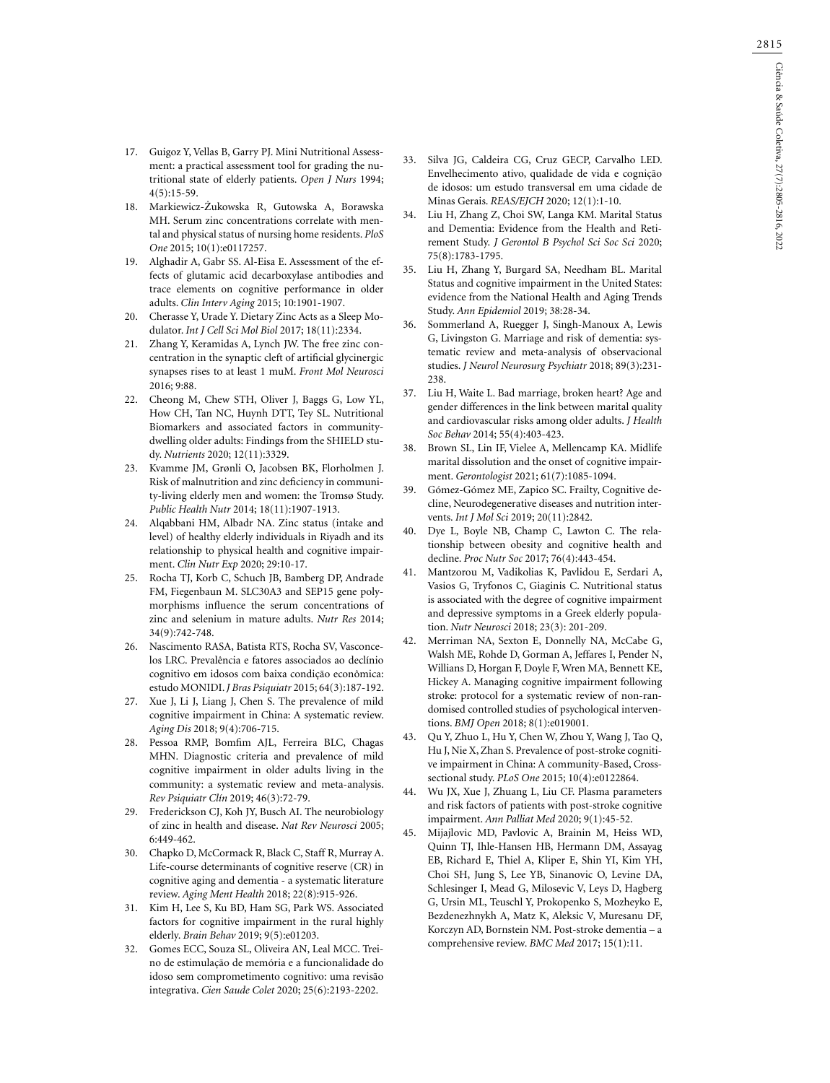- 17. Guigoz Y, Vellas B, Garry PJ. Mini Nutritional Assess ment: a practical assessment tool for grading the nu tritional state of elderly patients. *Open J Nurs* 1994; 4(5):15-59.
- 18. Markiewicz-Żukowska R, Gutowska A, Borawska MH. Serum zinc concentrations correlate with men tal and physical status of nursing home residents. *PloS One* 2015; 10(1):e0117257.
- 19. Alghadir A, Gabr SS. Al-Eisa E. Assessment of the effects of glutamic acid decarboxylase antibodies and trace elements on cognitive performance in older adults. *Clin Interv Aging* 2015; 10:1901-1907.
- 20. Cherasse Y, Urade Y. Dietary Zinc Acts as a Sleep Mo dulator. *Int J Cell Sci Mol Biol* 2017; 18(11):2334.
- 21. Zhang Y, Keramidas A, Lynch JW. The free zinc con centration in the synaptic cleft of artificial glycinergic synapses rises to at least 1 muM. *Front Mol Neurosci* 2016; 9:88.
- 22. Cheong M, Chew STH, Oliver J, Baggs G, Low YL, How CH, Tan NC, Huynh DTT, Tey SL. Nutritional Biomarkers and associated factors in communitydwelling older adults: Findings from the SHIELD study. *Nutrients* 2020; 12(11):3329.
- 23. Kvamme JM, Grønli O, Jacobsen BK, Florholmen J. Risk of malnutrition and zinc deficiency in communi ty-living elderly men and women: the Tromsø Study. *Public Health Nutr* 2014; 18(11):1907-1913.
- 24. Alqabbani HM, Albadr NA. Zinc status (intake and level) of healthy elderly individuals in Riyadh and its relationship to physical health and cognitive impair ment. *Clin Nutr Exp* 2020; 29:10-17.
- 25. Rocha TJ, Korb C, Schuch JB, Bamberg DP, Andrade FM, Fiegenbaun M. SLC30A3 and SEP15 gene poly morphisms influence the serum concentrations of zinc and selenium in mature adults. *Nutr Res* 2014; 34(9):742-748.
- 26. Nascimento RASA, Batista RTS, Rocha SV, Vasconce los LRC. Prevalência e fatores associados ao declínio cognitivo em idosos com baixa condição econômica: estudo MONIDI. *J Bras Psiquiatr* 2015; 64(3):187-192.
- 27. Xue J, Li J, Liang J, Chen S. The prevalence of mild cognitive impairment in China: A systematic review. *Aging Dis* 2018; 9(4):706-715.
- 28. Pessoa RMP, Bomfim AJL, Ferreira BLC, Chagas MHN. Diagnostic criteria and prevalence of mild cognitive impairment in older adults living in the community: a systematic review and meta-analysis. *Rev Psiquiatr Cl í n* 2019; 46(3):72-79.
- 29. Frederickson CJ, Koh JY, Busch AI. The neurobiology of zinc in health and disease. *Nat Rev Neurosci* 2005; 6:449-462.
- 30. Chapko D, McCormack R, Black C, Staff R, Murray A. Life-course determinants of cognitive reserve (CR) in cognitive aging and dementia - a systematic literature review. *Aging Ment Health* 2018; 22(8):915-926.
- 31. Kim H, Lee S, Ku BD, Ham SG, Park WS. Associated factors for cognitive impairment in the rural highly elderly. *Brain Behav* 2019; 9(5):e01203.
- 32. Gomes ECC, Souza SL, Oliveira AN, Leal MCC. Trei no de estimulação de memória e a funcionalidade do idoso sem comprometimento cognitivo: uma revisão integrativa. *Cien Saude Colet* 2020; 25(6):2193-2202.
- 33. Silva JG, Caldeira CG, Cruz GECP, Carvalho LED. Envelhecimento ativo, qualidade de vida e cognição de idosos: um estudo transversal em uma cidade de Minas Gerais. *REAS/EJCH* 2020; 12(1):1-10.
- 34. Liu H, Zhang Z, Choi SW, Langa KM. Marital Status and Dementia: Evidence from the Health and Reti rement Study. *J Gerontol B Psychol Sci Soc Sci* 2020; 75(8):1783-1795.
- 35. Liu H, Zhang Y, Burgard SA, Needham BL. Marital Status and cognitive impairment in the United States: evidence from the National Health and Aging Trends Study. *Ann Epidemiol* 2019; 38:28-34.
- 36. Sommerland A, Ruegger J, Singh-Manoux A, Lewis G, Livingston G. Marriage and risk of dementia: sys tematic review and meta-analysis of observacional studies. *J Neurol Neurosurg Psychiatr* 2018; 89(3):231- 238.
- 37. Liu H, Waite L. Bad marriage, broken heart? Age and gender differences in the link between marital quality and cardiovascular risks among older adults. *J Health Soc Behav* 2014; 55(4):403-423.
- 38. Brown SL, Lin IF, Vielee A, Mellencamp KA. Midlife marital dissolution and the onset of cognitive impair ment. *Gerontologist* 2021; 61(7):1085-1094.
- 39. Gómez-Gómez ME, Zapico SC. Frailty, Cognitive de cline, Neurodegenerative diseases and nutrition inter vents. *Int J Mol Sci* 2019; 20(11):2842.
- 40. Dye L, Boyle NB, Champ C, Lawton C. The rela tionship between obesity and cognitive health and decline. *Proc Nutr Soc* 2017; 76(4):443-454.
- 41. Mantzorou M, Vadikolias K, Pavlidou E, Serdari A, Vasios G, Tryfonos C, Giaginis C. Nutritional status is associated with the degree of cognitive impairment and depressive symptoms in a Greek elderly popula tion. *Nutr Neurosci* 2018; 23(3): 201-209.
- 42. Merriman NA, Sexton E, Donnelly NA, McCabe G, Walsh ME, Rohde D, Gorman A, Jeffares I, Pender N, Willians D, Horgan F, Doyle F, Wren MA, Bennett KE, Hickey A. Managing cognitive impairment following stroke: protocol for a systematic review of non-ran domised controlled studies of psychological interven tions. *BMJ Open* 2018; 8(1):e019001.
- 43. Qu Y, Zhuo L, Hu Y, Chen W, Zhou Y, Wang J, Tao Q, Hu J, Nie X, Zhan S. Prevalence of post-stroke cogniti ve impairment in China: A community-Based, Crosssectional study. *PLoS One* 2015; 10(4):e0122864.
- 44. Wu JX, Xue J, Zhuang L, Liu CF. Plasma parameters and risk factors of patients with post-stroke cognitive impairment. *Ann Palliat Med* 2020; 9(1):45-52.
- 45. Mijajlovic MD, Pavlovic A, Brainin M, Heiss WD, Quinn TJ, Ihle-Hansen HB, Hermann DM, Assayag EB, Richard E, Thiel A, Kliper E, Shin YI, Kim YH, Choi SH, Jung S, Lee YB, Sinanovic O, Levine DA, Schlesinger I, Mead G, Milosevic V, Leys D, Hagberg G, Ursin ML, Teuschl Y, Prokopenko S, Mozheyko E, Bezdenezhnykh A, Matz K, Aleksic V, Muresanu DF, Korczyn AD, Bornstein NM. Post-stroke dementia – a comprehensive review. *BMC Med* 2017; 15(1):11.